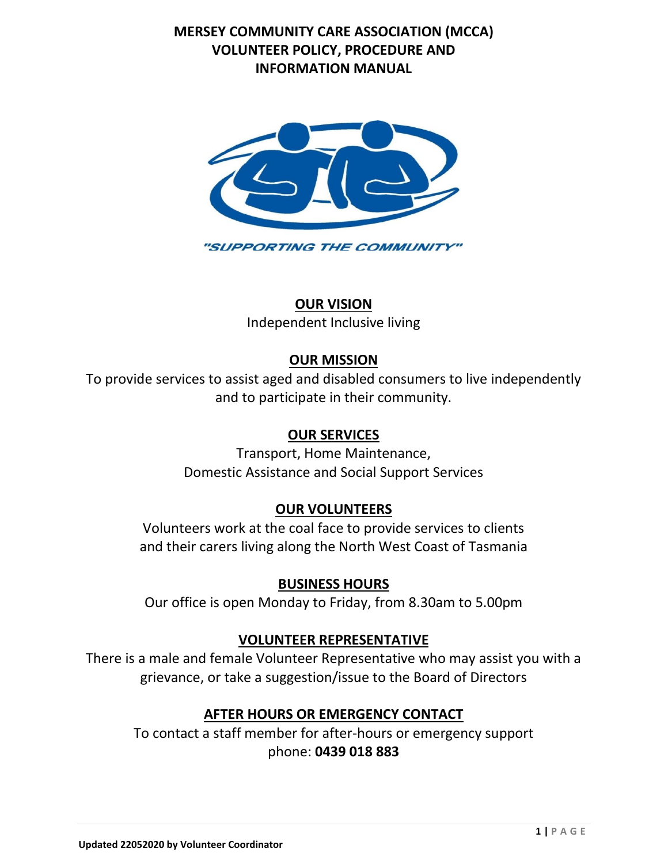## **MERSEY COMMUNITY CARE ASSOCIATION (MCCA) VOLUNTEER POLICY, PROCEDURE AND INFORMATION MANUAL**



## **OUR VISION**

Independent Inclusive living

# **OUR MISSION**

To provide services to assist aged and disabled consumers to live independently and to participate in their community.

## **OUR SERVICES**

Transport, Home Maintenance, Domestic Assistance and Social Support Services

## **OUR VOLUNTEERS**

Volunteers work at the coal face to provide services to clients and their carers living along the North West Coast of Tasmania

## **BUSINESS HOURS**

Our office is open Monday to Friday, from 8.30am to 5.00pm

## **VOLUNTEER REPRESENTATIVE**

There is a male and female Volunteer Representative who may assist you with a grievance, or take a suggestion/issue to the Board of Directors

# **AFTER HOURS OR EMERGENCY CONTACT**

To contact a staff member for after-hours or emergency support phone: **0439 018 883**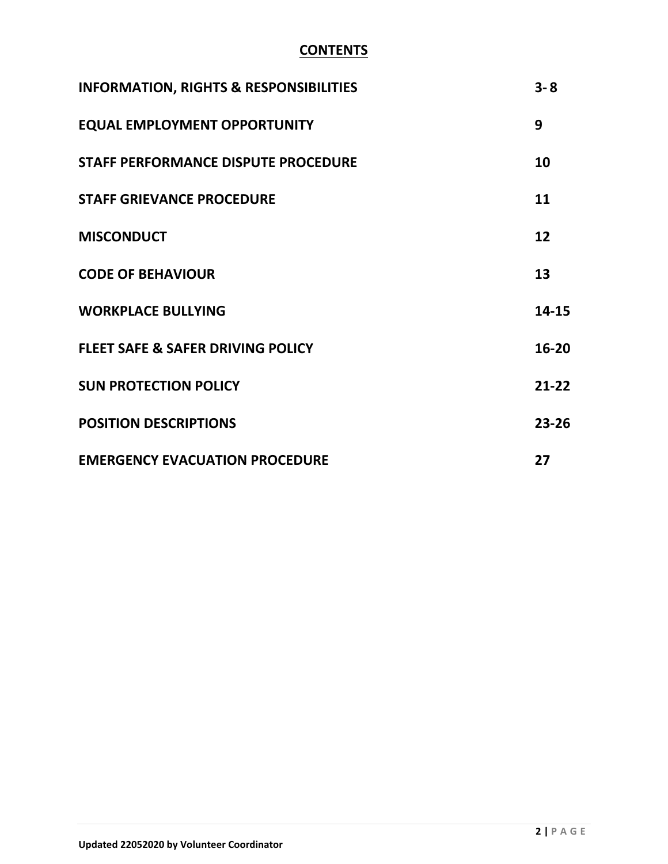# **CONTENTS**

| <b>INFORMATION, RIGHTS &amp; RESPONSIBILITIES</b> | $3 - 8$   |
|---------------------------------------------------|-----------|
| <b>EQUAL EMPLOYMENT OPPORTUNITY</b>               | 9         |
| <b>STAFF PERFORMANCE DISPUTE PROCEDURE</b>        | 10        |
| <b>STAFF GRIEVANCE PROCEDURE</b>                  | 11        |
| <b>MISCONDUCT</b>                                 | 12        |
| <b>CODE OF BEHAVIOUR</b>                          | 13        |
| <b>WORKPLACE BULLYING</b>                         | 14-15     |
| <b>FLEET SAFE &amp; SAFER DRIVING POLICY</b>      | 16-20     |
| <b>SUN PROTECTION POLICY</b>                      | $21 - 22$ |
| <b>POSITION DESCRIPTIONS</b>                      | 23-26     |
| <b>EMERGENCY EVACUATION PROCEDURE</b>             | 27        |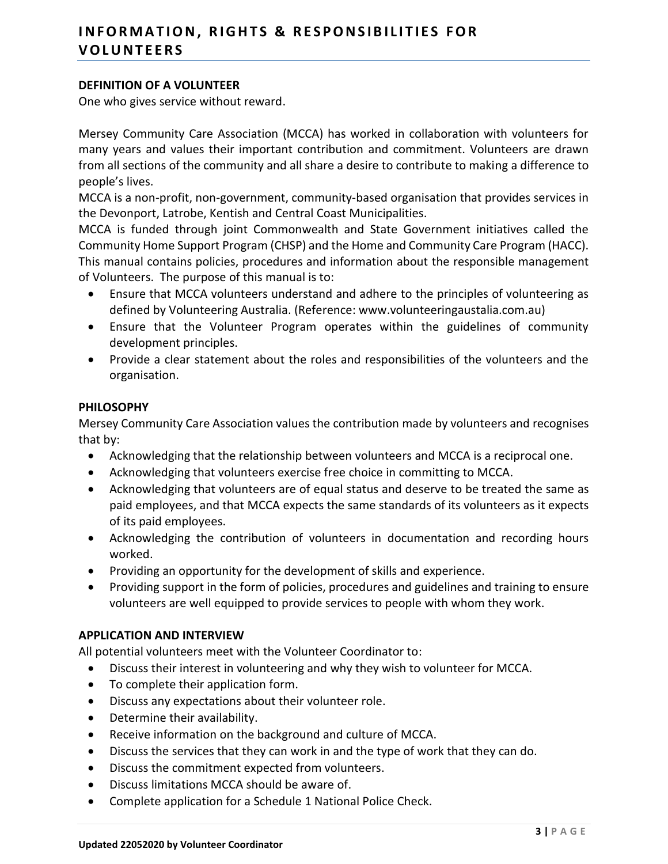## **DEFINITION OF A VOLUNTEER**

One who gives service without reward.

Mersey Community Care Association (MCCA) has worked in collaboration with volunteers for many years and values their important contribution and commitment. Volunteers are drawn from all sections of the community and all share a desire to contribute to making a difference to people's lives.

MCCA is a non-profit, non-government, community-based organisation that provides services in the Devonport, Latrobe, Kentish and Central Coast Municipalities.

MCCA is funded through joint Commonwealth and State Government initiatives called the Community Home Support Program (CHSP) and the Home and Community Care Program (HACC). This manual contains policies, procedures and information about the responsible management of Volunteers. The purpose of this manual is to:

- Ensure that MCCA volunteers understand and adhere to the principles of volunteering as defined by Volunteering Australia. (Reference: www.volunteeringaustalia.com.au)
- Ensure that the Volunteer Program operates within the guidelines of community development principles.
- Provide a clear statement about the roles and responsibilities of the volunteers and the organisation.

#### **PHILOSOPHY**

Mersey Community Care Association values the contribution made by volunteers and recognises that by:

- Acknowledging that the relationship between volunteers and MCCA is a reciprocal one.
- Acknowledging that volunteers exercise free choice in committing to MCCA.
- Acknowledging that volunteers are of equal status and deserve to be treated the same as paid employees, and that MCCA expects the same standards of its volunteers as it expects of its paid employees.
- Acknowledging the contribution of volunteers in documentation and recording hours worked.
- Providing an opportunity for the development of skills and experience.
- Providing support in the form of policies, procedures and guidelines and training to ensure volunteers are well equipped to provide services to people with whom they work.

#### **APPLICATION AND INTERVIEW**

All potential volunteers meet with the Volunteer Coordinator to:

- Discuss their interest in volunteering and why they wish to volunteer for MCCA.
- To complete their application form.
- Discuss any expectations about their volunteer role.
- Determine their availability.
- Receive information on the background and culture of MCCA.
- Discuss the services that they can work in and the type of work that they can do.
- Discuss the commitment expected from volunteers.
- Discuss limitations MCCA should be aware of.
- Complete application for a Schedule 1 National Police Check.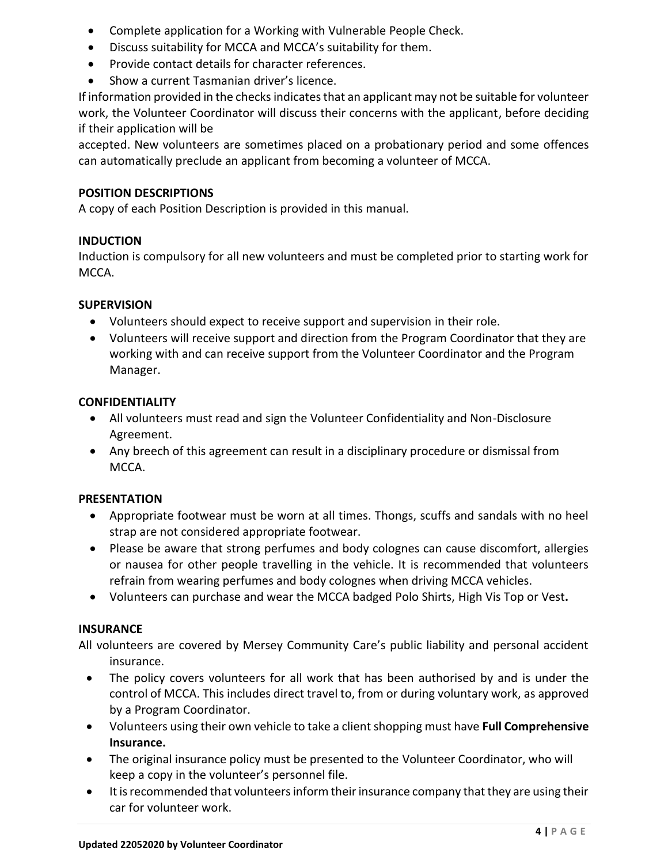- Complete application for a Working with Vulnerable People Check.
- Discuss suitability for MCCA and MCCA's suitability for them.
- Provide contact details for character references.
- Show a current Tasmanian driver's licence.

If information provided in the checks indicates that an applicant may not be suitable for volunteer work, the Volunteer Coordinator will discuss their concerns with the applicant, before deciding if their application will be

accepted. New volunteers are sometimes placed on a probationary period and some offences can automatically preclude an applicant from becoming a volunteer of MCCA.

## **POSITION DESCRIPTIONS**

A copy of each Position Description is provided in this manual.

## **INDUCTION**

Induction is compulsory for all new volunteers and must be completed prior to starting work for MCCA.

## **SUPERVISION**

- Volunteers should expect to receive support and supervision in their role.
- Volunteers will receive support and direction from the Program Coordinator that they are working with and can receive support from the Volunteer Coordinator and the Program Manager.

## **CONFIDENTIALITY**

- All volunteers must read and sign the Volunteer Confidentiality and Non-Disclosure Agreement.
- Any breech of this agreement can result in a disciplinary procedure or dismissal from MCCA.

## **PRESENTATION**

- Appropriate footwear must be worn at all times. Thongs, scuffs and sandals with no heel strap are not considered appropriate footwear.
- Please be aware that strong perfumes and body colognes can cause discomfort, allergies or nausea for other people travelling in the vehicle. It is recommended that volunteers refrain from wearing perfumes and body colognes when driving MCCA vehicles.
- Volunteers can purchase and wear the MCCA badged Polo Shirts, High Vis Top or Vest**.**

## **INSURANCE**

All volunteers are covered by Mersey Community Care's public liability and personal accident insurance.

- The policy covers volunteers for all work that has been authorised by and is under the control of MCCA. This includes direct travel to, from or during voluntary work, as approved by a Program Coordinator.
- Volunteers using their own vehicle to take a client shopping must have **Full Comprehensive Insurance.**
- The original insurance policy must be presented to the Volunteer Coordinator, who will keep a copy in the volunteer's personnel file.
- It is recommended that volunteers inform their insurance company that they are using their car for volunteer work.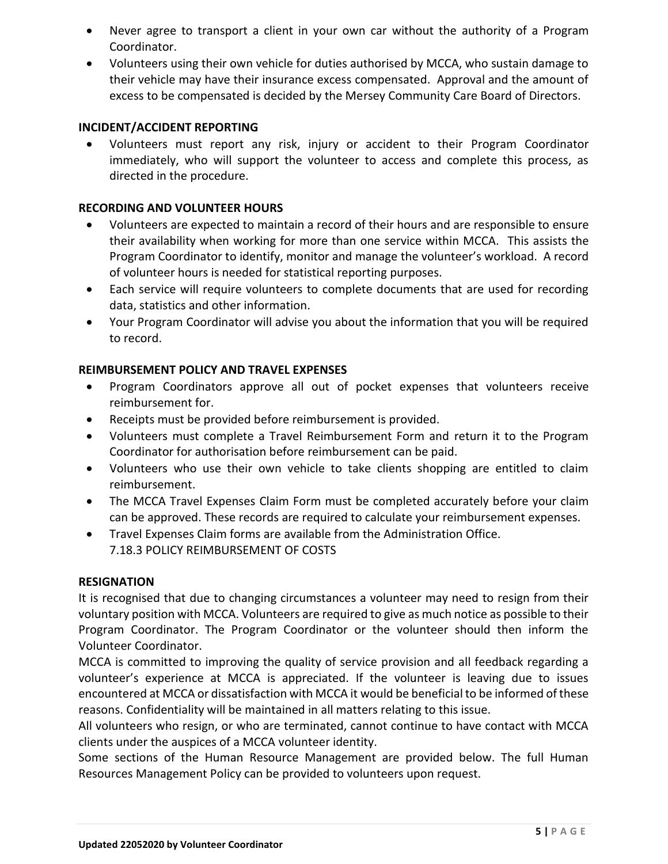- Never agree to transport a client in your own car without the authority of a Program Coordinator.
- Volunteers using their own vehicle for duties authorised by MCCA, who sustain damage to their vehicle may have their insurance excess compensated. Approval and the amount of excess to be compensated is decided by the Mersey Community Care Board of Directors.

## **INCIDENT/ACCIDENT REPORTING**

• Volunteers must report any risk, injury or accident to their Program Coordinator immediately, who will support the volunteer to access and complete this process, as directed in the procedure.

## **RECORDING AND VOLUNTEER HOURS**

- Volunteers are expected to maintain a record of their hours and are responsible to ensure their availability when working for more than one service within MCCA. This assists the Program Coordinator to identify, monitor and manage the volunteer's workload. A record of volunteer hours is needed for statistical reporting purposes.
- Each service will require volunteers to complete documents that are used for recording data, statistics and other information.
- Your Program Coordinator will advise you about the information that you will be required to record.

## **REIMBURSEMENT POLICY AND TRAVEL EXPENSES**

- Program Coordinators approve all out of pocket expenses that volunteers receive reimbursement for.
- Receipts must be provided before reimbursement is provided.
- Volunteers must complete a Travel Reimbursement Form and return it to the Program Coordinator for authorisation before reimbursement can be paid.
- Volunteers who use their own vehicle to take clients shopping are entitled to claim reimbursement.
- The MCCA Travel Expenses Claim Form must be completed accurately before your claim can be approved. These records are required to calculate your reimbursement expenses.
- Travel Expenses Claim forms are available from the Administration Office. 7.18.3 POLICY REIMBURSEMENT OF COSTS

## **RESIGNATION**

It is recognised that due to changing circumstances a volunteer may need to resign from their voluntary position with MCCA. Volunteers are required to give as much notice as possible to their Program Coordinator. The Program Coordinator or the volunteer should then inform the Volunteer Coordinator.

MCCA is committed to improving the quality of service provision and all feedback regarding a volunteer's experience at MCCA is appreciated. If the volunteer is leaving due to issues encountered at MCCA or dissatisfaction with MCCA it would be beneficial to be informed of these reasons. Confidentiality will be maintained in all matters relating to this issue.

All volunteers who resign, or who are terminated, cannot continue to have contact with MCCA clients under the auspices of a MCCA volunteer identity.

Some sections of the Human Resource Management are provided below. The full Human Resources Management Policy can be provided to volunteers upon request.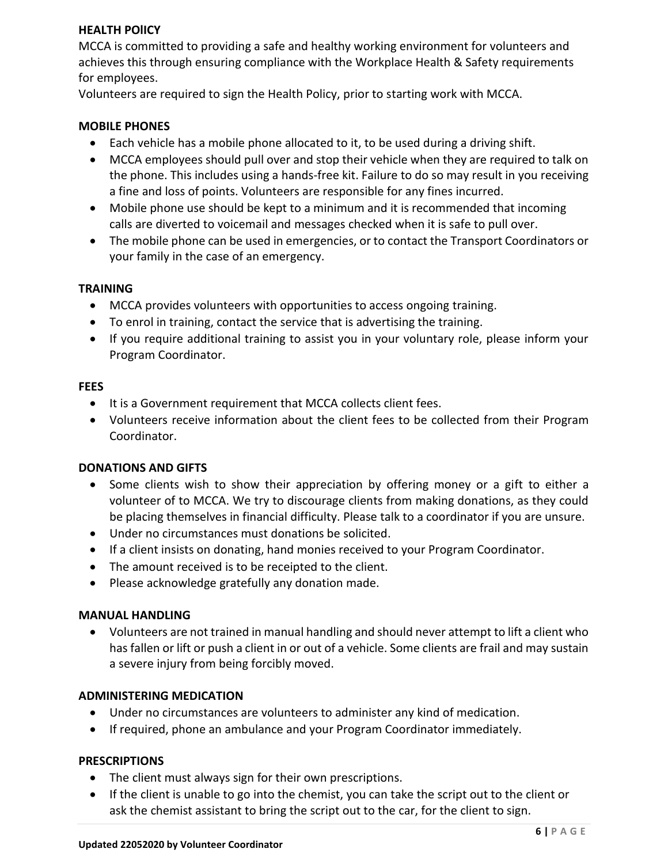## **HEALTH POlICY**

MCCA is committed to providing a safe and healthy working environment for volunteers and achieves this through ensuring compliance with the Workplace Health & Safety requirements for employees.

Volunteers are required to sign the Health Policy, prior to starting work with MCCA.

## **MOBILE PHONES**

- Each vehicle has a mobile phone allocated to it, to be used during a driving shift.
- MCCA employees should pull over and stop their vehicle when they are required to talk on the phone. This includes using a hands-free kit. Failure to do so may result in you receiving a fine and loss of points. Volunteers are responsible for any fines incurred.
- Mobile phone use should be kept to a minimum and it is recommended that incoming calls are diverted to voicemail and messages checked when it is safe to pull over.
- The mobile phone can be used in emergencies, or to contact the Transport Coordinators or your family in the case of an emergency.

## **TRAINING**

- MCCA provides volunteers with opportunities to access ongoing training.
- To enrol in training, contact the service that is advertising the training.
- If you require additional training to assist you in your voluntary role, please inform your Program Coordinator.

#### **FEES**

- It is a Government requirement that MCCA collects client fees.
- Volunteers receive information about the client fees to be collected from their Program Coordinator.

## **DONATIONS AND GIFTS**

- Some clients wish to show their appreciation by offering money or a gift to either a volunteer of to MCCA. We try to discourage clients from making donations, as they could be placing themselves in financial difficulty. Please talk to a coordinator if you are unsure.
- Under no circumstances must donations be solicited.
- If a client insists on donating, hand monies received to your Program Coordinator.
- The amount received is to be receipted to the client.
- Please acknowledge gratefully any donation made.

## **MANUAL HANDLING**

• Volunteers are not trained in manual handling and should never attempt to lift a client who has fallen or lift or push a client in or out of a vehicle. Some clients are frail and may sustain a severe injury from being forcibly moved.

#### **ADMINISTERING MEDICATION**

- Under no circumstances are volunteers to administer any kind of medication.
- If required, phone an ambulance and your Program Coordinator immediately.

#### **PRESCRIPTIONS**

- The client must always sign for their own prescriptions.
- If the client is unable to go into the chemist, you can take the script out to the client or ask the chemist assistant to bring the script out to the car, for the client to sign.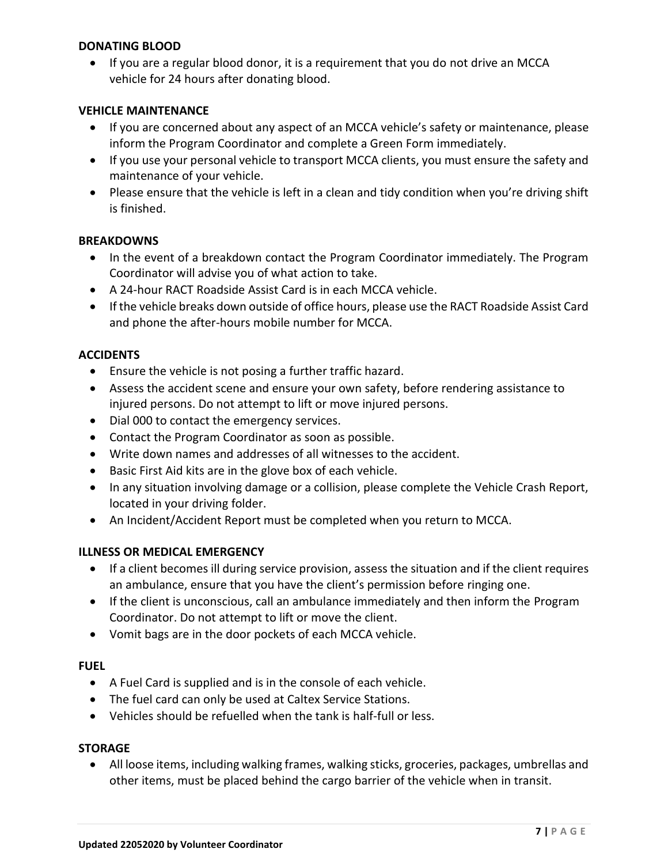## **DONATING BLOOD**

• If you are a regular blood donor, it is a requirement that you do not drive an MCCA vehicle for 24 hours after donating blood.

## **VEHICLE MAINTENANCE**

- If you are concerned about any aspect of an MCCA vehicle's safety or maintenance, please inform the Program Coordinator and complete a Green Form immediately.
- If you use your personal vehicle to transport MCCA clients, you must ensure the safety and maintenance of your vehicle.
- Please ensure that the vehicle is left in a clean and tidy condition when you're driving shift is finished.

#### **BREAKDOWNS**

- In the event of a breakdown contact the Program Coordinator immediately. The Program Coordinator will advise you of what action to take.
- A 24-hour RACT Roadside Assist Card is in each MCCA vehicle.
- If the vehicle breaks down outside of office hours, please use the RACT Roadside Assist Card and phone the after-hours mobile number for MCCA.

#### **ACCIDENTS**

- Ensure the vehicle is not posing a further traffic hazard.
- Assess the accident scene and ensure your own safety, before rendering assistance to injured persons. Do not attempt to lift or move injured persons.
- Dial 000 to contact the emergency services.
- Contact the Program Coordinator as soon as possible.
- Write down names and addresses of all witnesses to the accident.
- Basic First Aid kits are in the glove box of each vehicle.
- In any situation involving damage or a collision, please complete the Vehicle Crash Report, located in your driving folder.
- An Incident/Accident Report must be completed when you return to MCCA.

## **ILLNESS OR MEDICAL EMERGENCY**

- If a client becomes ill during service provision, assess the situation and if the client requires an ambulance, ensure that you have the client's permission before ringing one.
- If the client is unconscious, call an ambulance immediately and then inform the Program Coordinator. Do not attempt to lift or move the client.
- Vomit bags are in the door pockets of each MCCA vehicle.

#### **FUEL**

- A Fuel Card is supplied and is in the console of each vehicle.
- The fuel card can only be used at Caltex Service Stations.
- Vehicles should be refuelled when the tank is half-full or less.

## **STORAGE**

• All loose items, including walking frames, walking sticks, groceries, packages, umbrellas and other items, must be placed behind the cargo barrier of the vehicle when in transit.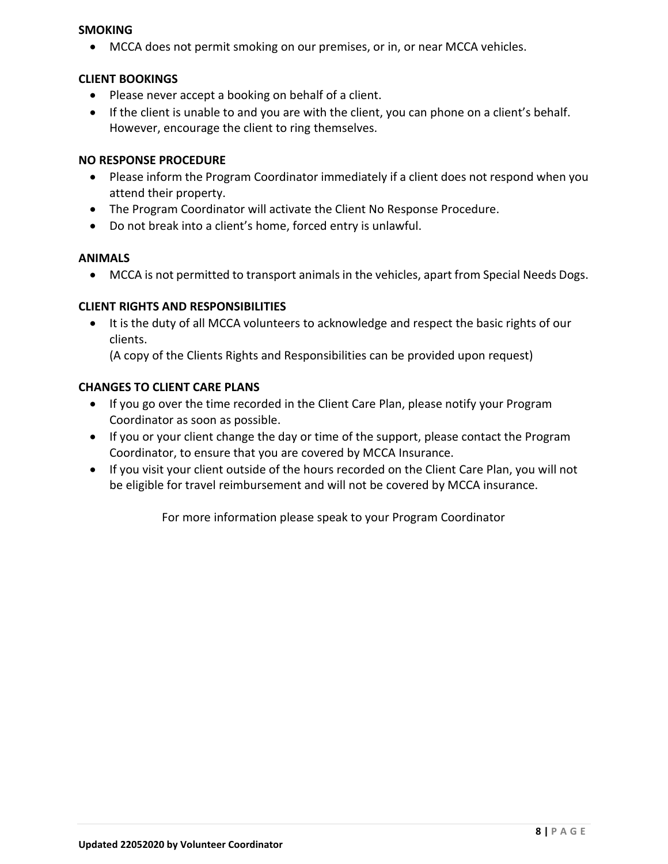## **SMOKING**

• MCCA does not permit smoking on our premises, or in, or near MCCA vehicles.

## **CLIENT BOOKINGS**

- Please never accept a booking on behalf of a client.
- If the client is unable to and you are with the client, you can phone on a client's behalf. However, encourage the client to ring themselves.

## **NO RESPONSE PROCEDURE**

- Please inform the Program Coordinator immediately if a client does not respond when you attend their property.
- The Program Coordinator will activate the Client No Response Procedure.
- Do not break into a client's home, forced entry is unlawful.

## **ANIMALS**

• MCCA is not permitted to transport animals in the vehicles, apart from Special Needs Dogs.

## **CLIENT RIGHTS AND RESPONSIBILITIES**

• It is the duty of all MCCA volunteers to acknowledge and respect the basic rights of our clients.

(A copy of the Clients Rights and Responsibilities can be provided upon request)

## **CHANGES TO CLIENT CARE PLANS**

- If you go over the time recorded in the Client Care Plan, please notify your Program Coordinator as soon as possible.
- If you or your client change the day or time of the support, please contact the Program Coordinator, to ensure that you are covered by MCCA Insurance.
- If you visit your client outside of the hours recorded on the Client Care Plan, you will not be eligible for travel reimbursement and will not be covered by MCCA insurance.

For more information please speak to your Program Coordinator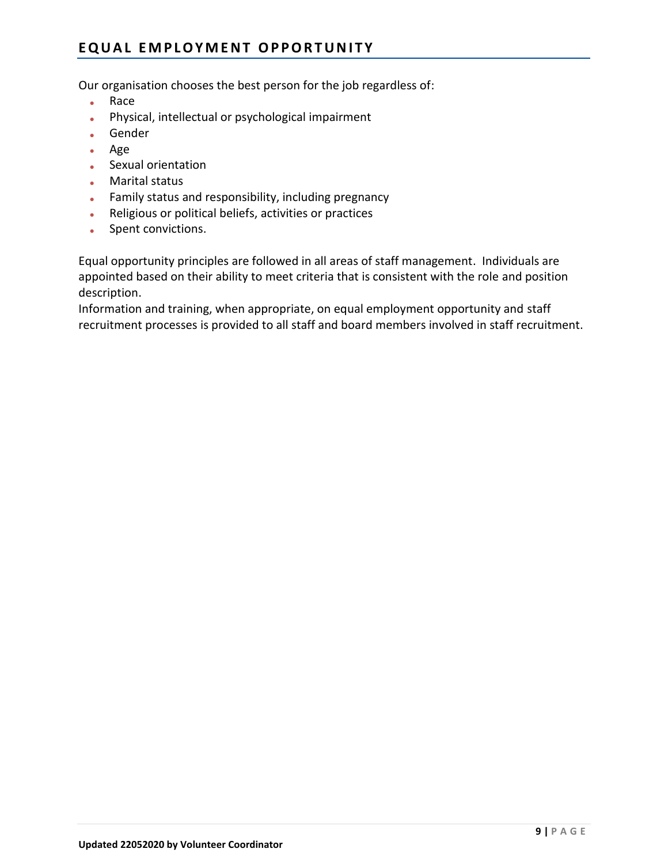## EQUAL EMPLOYMENT OPPORTUNITY

Our organisation chooses the best person for the job regardless of:

- Race
- Physical, intellectual or psychological impairment
- Gender
- Age
- Sexual orientation
- Marital status
- Family status and responsibility, including pregnancy
- Religious or political beliefs, activities or practices
- Spent convictions.

Equal opportunity principles are followed in all areas of staff management. Individuals are appointed based on their ability to meet criteria that is consistent with the role and position description.

Information and training, when appropriate, on equal employment opportunity and staff recruitment processes is provided to all staff and board members involved in staff recruitment.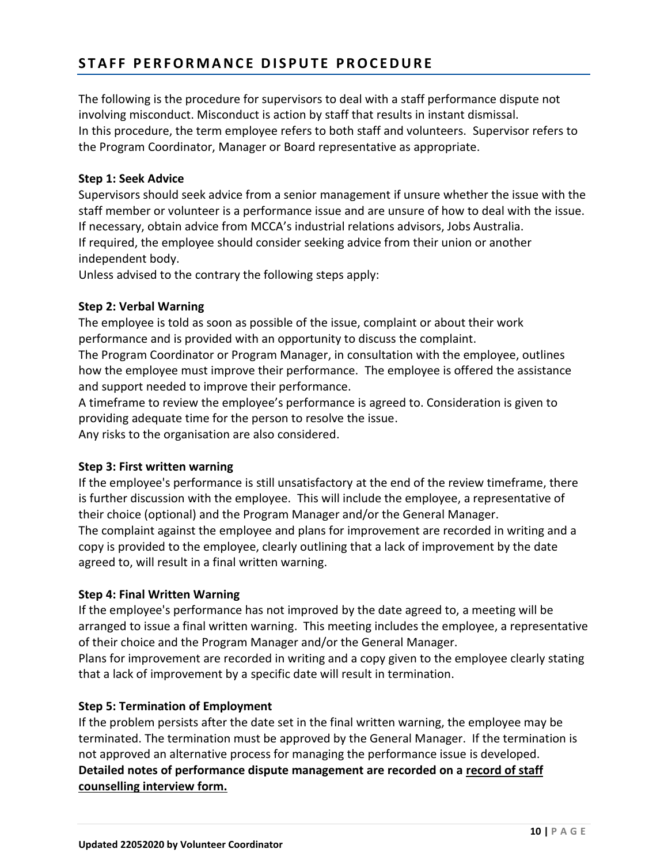## **S T A F F P E R F O R M A N C E D I S P U T E P R O C E D U R E**

The following is the procedure for supervisors to deal with a staff performance dispute not involving misconduct. Misconduct is action by staff that results in instant dismissal. In this procedure, the term employee refers to both staff and volunteers. Supervisor refers to the Program Coordinator, Manager or Board representative as appropriate.

## **Step 1: Seek Advice**

Supervisors should seek advice from a senior management if unsure whether the issue with the staff member or volunteer is a performance issue and are unsure of how to deal with the issue. If necessary, obtain advice from MCCA's industrial relations advisors, Jobs Australia. If required, the employee should consider seeking advice from their union or another independent body.

Unless advised to the contrary the following steps apply:

## **Step 2: Verbal Warning**

The employee is told as soon as possible of the issue, complaint or about their work performance and is provided with an opportunity to discuss the complaint.

The Program Coordinator or Program Manager, in consultation with the employee, outlines how the employee must improve their performance. The employee is offered the assistance and support needed to improve their performance.

A timeframe to review the employee's performance is agreed to. Consideration is given to providing adequate time for the person to resolve the issue. Any risks to the organisation are also considered.

## **Step 3: First written warning**

If the employee's performance is still unsatisfactory at the end of the review timeframe, there is further discussion with the employee. This will include the employee, a representative of their choice (optional) and the Program Manager and/or the General Manager. The complaint against the employee and plans for improvement are recorded in writing and a copy is provided to the employee, clearly outlining that a lack of improvement by the date agreed to, will result in a final written warning.

## **Step 4: Final Written Warning**

If the employee's performance has not improved by the date agreed to, a meeting will be arranged to issue a final written warning. This meeting includes the employee, a representative of their choice and the Program Manager and/or the General Manager.

Plans for improvement are recorded in writing and a copy given to the employee clearly stating that a lack of improvement by a specific date will result in termination.

## **Step 5: Termination of Employment**

If the problem persists after the date set in the final written warning, the employee may be terminated. The termination must be approved by the General Manager. If the termination is not approved an alternative process for managing the performance issue is developed. **Detailed notes of performance dispute management are recorded on a [record of staff](file://///MCC-DC01/Allshare/VOLUNTEER%20MANAGEMENT/VOLUNTEER%20FORMS/VOLUNTEER%20MANUALS/Forms%20&%20Service%20Documents/STAFF%20INFO%20&%20FORMS/Section%207%20Record%20of%20Staff%20Counselling%20Interview.doc)  [counselling interview form.](file://///MCC-DC01/Allshare/VOLUNTEER%20MANAGEMENT/VOLUNTEER%20FORMS/VOLUNTEER%20MANUALS/Forms%20&%20Service%20Documents/STAFF%20INFO%20&%20FORMS/Section%207%20Record%20of%20Staff%20Counselling%20Interview.doc)**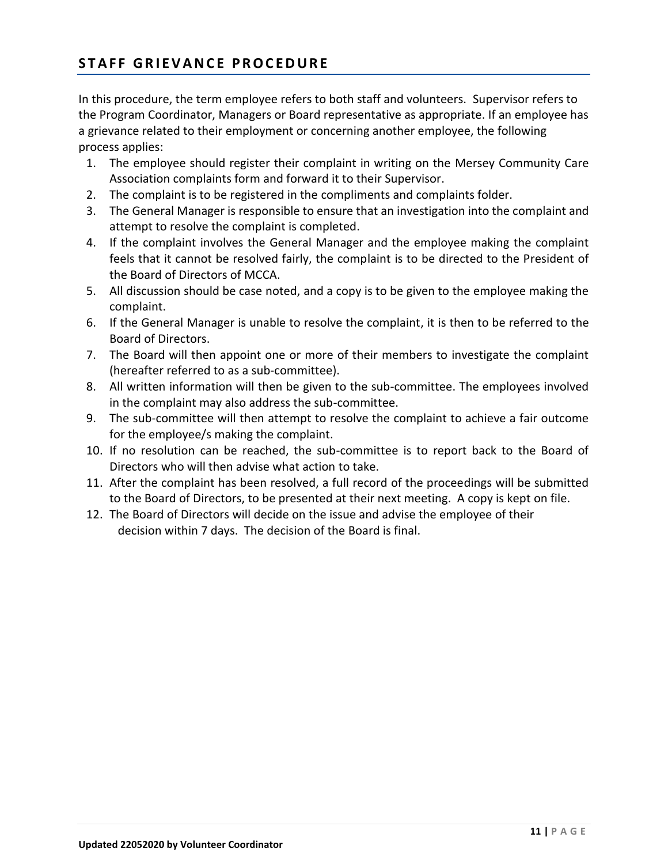## **S T A F F G R I E V A N C E P R O C E D U R E**

In this procedure, the term employee refers to both staff and volunteers. Supervisor refers to the Program Coordinator, Managers or Board representative as appropriate. If an employee has a grievance related to their employment or concerning another employee, the following process applies:

- 1. The employee should register their complaint in writing on the Mersey Community Care Association complaints form and forward it to their Supervisor.
- 2. The complaint is to be registered in the compliments and complaints folder.
- 3. The General Manager is responsible to ensure that an investigation into the complaint and attempt to resolve the complaint is completed.
- 4. If the complaint involves the General Manager and the employee making the complaint feels that it cannot be resolved fairly, the complaint is to be directed to the President of the Board of Directors of MCCA.
- 5. All discussion should be case noted, and a copy is to be given to the employee making the complaint.
- 6. If the General Manager is unable to resolve the complaint, it is then to be referred to the Board of Directors.
- 7. The Board will then appoint one or more of their members to investigate the complaint (hereafter referred to as a sub-committee).
- 8. All written information will then be given to the sub-committee. The employees involved in the complaint may also address the sub-committee.
- 9. The sub-committee will then attempt to resolve the complaint to achieve a fair outcome for the employee/s making the complaint.
- 10. If no resolution can be reached, the sub-committee is to report back to the Board of Directors who will then advise what action to take.
- 11. After the complaint has been resolved, a full record of the proceedings will be submitted to the Board of Directors, to be presented at their next meeting. A copy is kept on file.
- 12. The Board of Directors will decide on the issue and advise the employee of their decision within 7 days. The decision of the Board is final.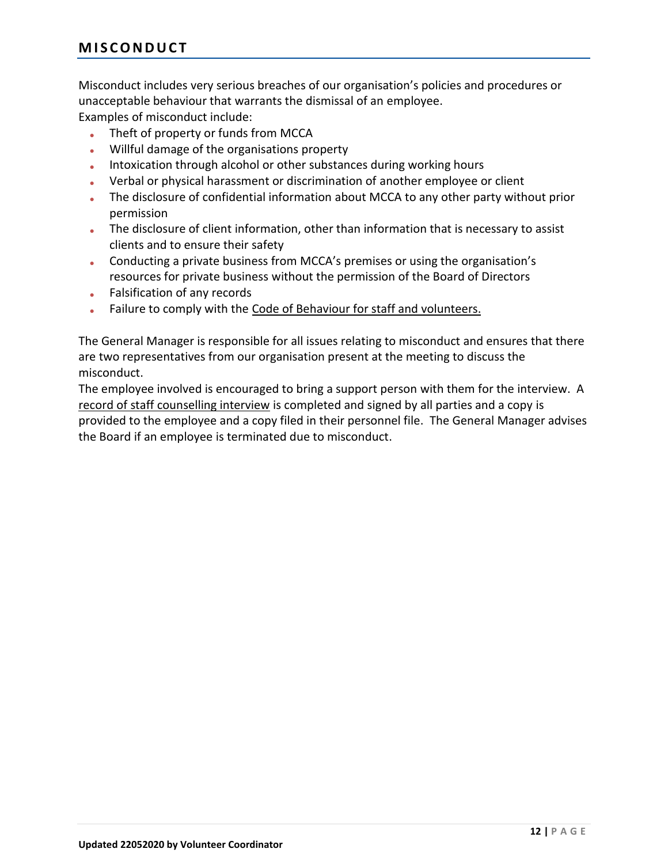Misconduct includes very serious breaches of our organisation's policies and procedures or unacceptable behaviour that warrants the dismissal of an employee.

Examples of misconduct include:

- Theft of property or funds from MCCA
- Willful damage of the organisations property
- Intoxication through alcohol or other substances during working hours
- Verbal or physical harassment or discrimination of another employee or client
- The disclosure of confidential information about MCCA to any other party without prior permission
- The disclosure of client information, other than information that is necessary to assist clients and to ensure their safety
- Conducting a private business from MCCA's premises or using the organisation's resources for private business without the permission of the Board of Directors
- Falsification of any records
- Failure to comply with the Code of Behaviour [for staff and volunteers.](file://///MCC-DC01/Allshare/VOLUNTEER%20MANAGEMENT/VOLUNTEER%20FORMS/VOLUNTEER%20MANUALS/Forms%20&%20Service%20Documents/CODES%20OF%20CONDUCT/Section%207%20Code%20of%20Behaviour%20for%20Staff%20and%20Volunteers.doc)

The General Manager is responsible for all issues relating to misconduct and ensures that there are two representatives from our organisation present at the meeting to discuss the misconduct.

The employee involved is encouraged to bring a support person with them for the interview. A [record of staff counselling interview](file://///MCC-DC01/Allshare/VOLUNTEER%20MANAGEMENT/VOLUNTEER%20FORMS/VOLUNTEER%20MANUALS/Forms%20&%20Service%20Documents/STAFF%20INFO%20&%20FORMS/Section%207%20Record%20of%20Staff%20Counselling%20Interview.doc) is completed and signed by all parties and a copy is provided to the employee and a copy filed in their personnel file. The General Manager advises the Board if an employee is terminated due to misconduct.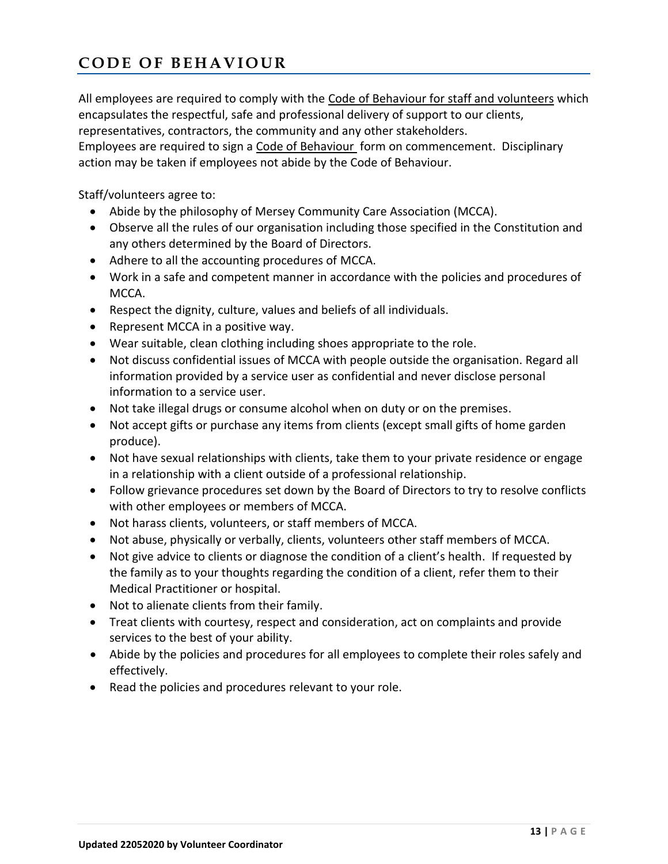# **C O D E O F B E H A V I O U R**

All employees are required to comply with the [Code of Behaviour for staff and volunteers](file:///C:/Users/ss/AppData/Local/Microsoft/Windows/NEW%20POLICY%20MANUAL%20%202014%20Approved%20by%20Board/New%20Policy%20Documents%202014/Forms/Section%207%20Code%20of%20Behaviour%20for%20Staff%20and%20Volunteers.doc) which encapsulates the respectful, safe and professional delivery of support to our clients, representatives, contractors, the community and any other stakeholders.

Employees are required to sign a [Code of Behaviour](file:///C:/Users/ss/AppData/Local/Microsoft/Windows/NEW%20POLICY%20MANUAL%20%202014%20Approved%20by%20Board/New%20Policy%20Documents%202014/Forms/Section%207%20Code%20of%20Behaviour%20for%20Staff%20and%20Volunteers.doc) form on commencement. Disciplinary action may be taken if employees not abide by the Code of Behaviour.

Staff/volunteers agree to:

- Abide by the philosophy of Mersey Community Care Association (MCCA).
- Observe all the rules of our organisation including those specified in the Constitution and any others determined by the Board of Directors.
- Adhere to all the accounting procedures of MCCA.
- Work in a safe and competent manner in accordance with the policies and procedures of MCCA.
- Respect the dignity, culture, values and beliefs of all individuals.
- Represent MCCA in a positive way.
- Wear suitable, clean clothing including shoes appropriate to the role.
- Not discuss confidential issues of MCCA with people outside the organisation. Regard all information provided by a service user as confidential and never disclose personal information to a service user.
- Not take illegal drugs or consume alcohol when on duty or on the premises.
- Not accept gifts or purchase any items from clients (except small gifts of home garden produce).
- Not have sexual relationships with clients, take them to your private residence or engage in a relationship with a client outside of a professional relationship.
- Follow grievance procedures set down by the Board of Directors to try to resolve conflicts with other employees or members of MCCA.
- Not harass clients, volunteers, or staff members of MCCA.
- Not abuse, physically or verbally, clients, volunteers other staff members of MCCA.
- Not give advice to clients or diagnose the condition of a client's health. If requested by the family as to your thoughts regarding the condition of a client, refer them to their Medical Practitioner or hospital.
- Not to alienate clients from their family.
- Treat clients with courtesy, respect and consideration, act on complaints and provide services to the best of your ability.
- Abide by the policies and procedures for all employees to complete their roles safely and effectively.
- Read the policies and procedures relevant to your role.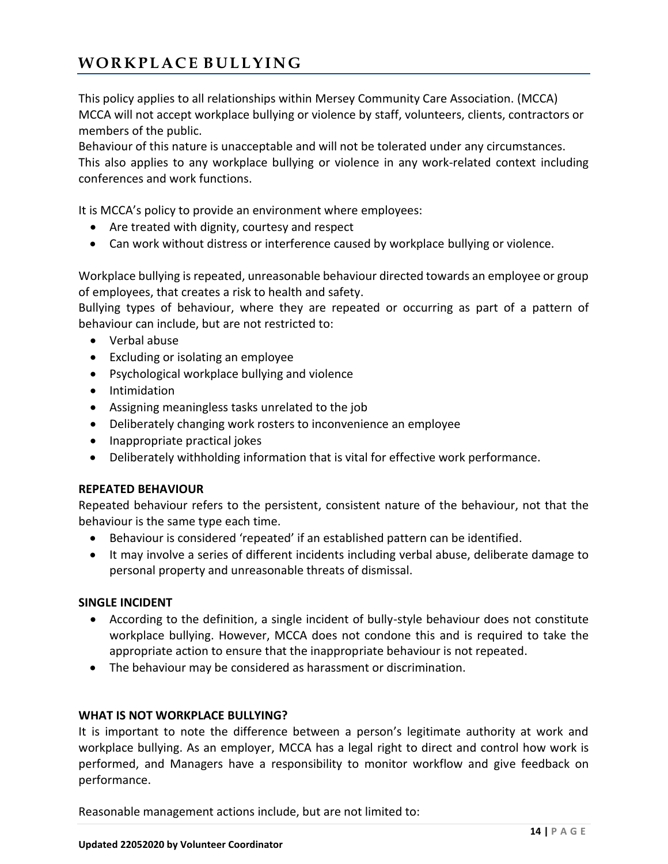# **W O R K P L A C E B U L L Y I N G**

This policy applies to all relationships within Mersey Community Care Association. (MCCA) MCCA will not accept workplace bullying or violence by staff, volunteers, clients, contractors or members of the public.

Behaviour of this nature is unacceptable and will not be tolerated under any circumstances. This also applies to any workplace bullying or violence in any work-related context including conferences and work functions.

It is MCCA's policy to provide an environment where employees:

- Are treated with dignity, courtesy and respect
- Can work without distress or interference caused by workplace bullying or violence.

Workplace bullying is repeated, unreasonable behaviour directed towards an employee or group of employees, that creates a risk to health and safety.

Bullying types of behaviour, where they are repeated or occurring as part of a pattern of behaviour can include, but are not restricted to:

- Verbal abuse
- Excluding or isolating an employee
- Psychological workplace bullying and violence
- Intimidation
- Assigning meaningless tasks unrelated to the job
- Deliberately changing work rosters to inconvenience an employee
- Inappropriate practical jokes
- Deliberately withholding information that is vital for effective work performance.

## **REPEATED BEHAVIOUR**

Repeated behaviour refers to the persistent, consistent nature of the behaviour, not that the behaviour is the same type each time.

- Behaviour is considered 'repeated' if an established pattern can be identified.
- It may involve a series of different incidents including verbal abuse, deliberate damage to personal property and unreasonable threats of dismissal.

## **SINGLE INCIDENT**

- According to the definition, a single incident of bully-style behaviour does not constitute workplace bullying. However, MCCA does not condone this and is required to take the appropriate action to ensure that the inappropriate behaviour is not repeated.
- The behaviour may be considered as harassment or discrimination.

## **WHAT IS NOT WORKPLACE BULLYING?**

It is important to note the difference between a person's legitimate authority at work and workplace bullying. As an employer, MCCA has a legal right to direct and control how work is performed, and Managers have a responsibility to monitor workflow and give feedback on performance.

Reasonable management actions include, but are not limited to: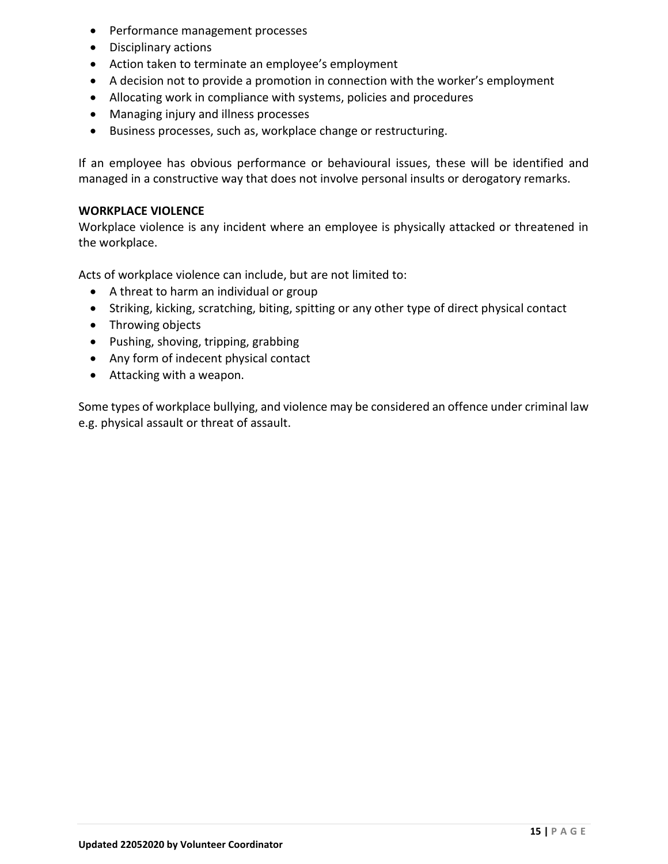- Performance management processes
- Disciplinary actions
- Action taken to terminate an employee's employment
- A decision not to provide a promotion in connection with the worker's employment
- Allocating work in compliance with systems, policies and procedures
- Managing injury and illness processes
- Business processes, such as, workplace change or restructuring.

If an employee has obvious performance or behavioural issues, these will be identified and managed in a constructive way that does not involve personal insults or derogatory remarks.

#### **WORKPLACE VIOLENCE**

Workplace violence is any incident where an employee is physically attacked or threatened in the workplace.

Acts of workplace violence can include, but are not limited to:

- A threat to harm an individual or group
- Striking, kicking, scratching, biting, spitting or any other type of direct physical contact
- Throwing objects
- Pushing, shoving, tripping, grabbing
- Any form of indecent physical contact
- Attacking with a weapon.

Some types of workplace bullying, and violence may be considered an offence under criminal law e.g. physical assault or threat of assault.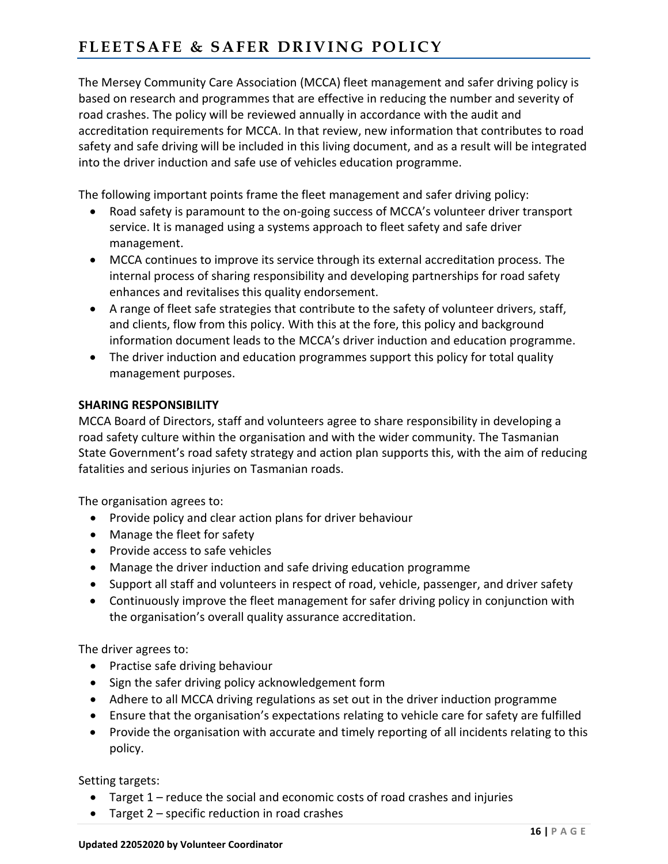# FLEETSAFE & SAFER DRIVING POLICY

The Mersey Community Care Association (MCCA) fleet management and safer driving policy is based on research and programmes that are effective in reducing the number and severity of road crashes. The policy will be reviewed annually in accordance with the audit and accreditation requirements for MCCA. In that review, new information that contributes to road safety and safe driving will be included in this living document, and as a result will be integrated into the driver induction and safe use of vehicles education programme.

The following important points frame the fleet management and safer driving policy:

- Road safety is paramount to the on-going success of MCCA's volunteer driver transport service. It is managed using a systems approach to fleet safety and safe driver management.
- MCCA continues to improve its service through its external accreditation process. The internal process of sharing responsibility and developing partnerships for road safety enhances and revitalises this quality endorsement.
- A range of fleet safe strategies that contribute to the safety of volunteer drivers, staff, and clients, flow from this policy. With this at the fore, this policy and background information document leads to the MCCA's driver induction and education programme.
- The driver induction and education programmes support this policy for total quality management purposes.

## **SHARING RESPONSIBILITY**

MCCA Board of Directors, staff and volunteers agree to share responsibility in developing a road safety culture within the organisation and with the wider community. The Tasmanian State Government's road safety strategy and action plan supports this, with the aim of reducing fatalities and serious injuries on Tasmanian roads.

The organisation agrees to:

- Provide policy and clear action plans for driver behaviour
- Manage the fleet for safety
- Provide access to safe vehicles
- Manage the driver induction and safe driving education programme
- Support all staff and volunteers in respect of road, vehicle, passenger, and driver safety
- Continuously improve the fleet management for safer driving policy in conjunction with the organisation's overall quality assurance accreditation.

The driver agrees to:

- Practise safe driving behaviour
- Sign the safer driving policy acknowledgement form
- Adhere to all MCCA driving regulations as set out in the driver induction programme
- Ensure that the organisation's expectations relating to vehicle care for safety are fulfilled
- Provide the organisation with accurate and timely reporting of all incidents relating to this policy.

Setting targets:

- Target 1 reduce the social and economic costs of road crashes and injuries
- Target 2 specific reduction in road crashes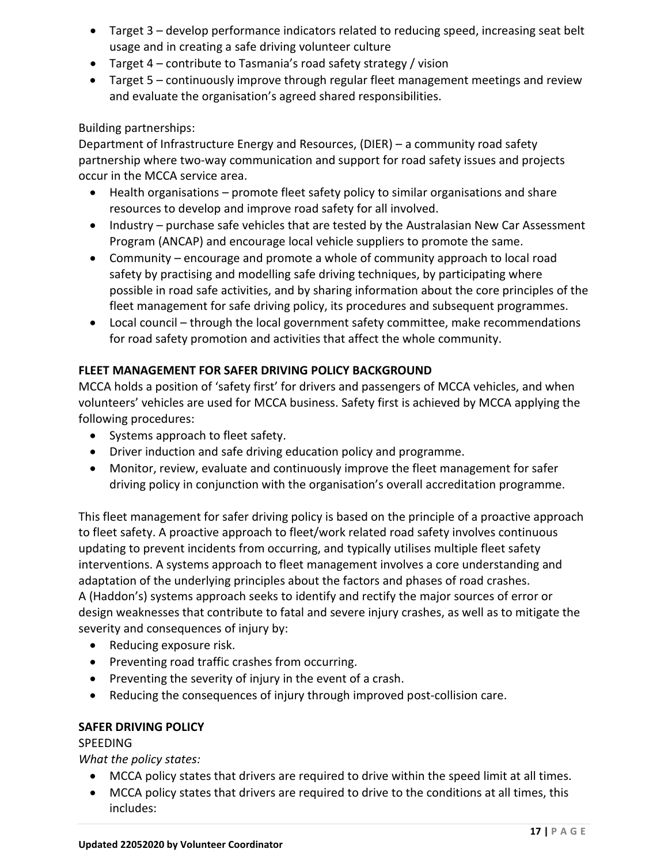- Target 3 develop performance indicators related to reducing speed, increasing seat belt usage and in creating a safe driving volunteer culture
- Target 4 contribute to Tasmania's road safety strategy / vision
- Target 5 continuously improve through regular fleet management meetings and review and evaluate the organisation's agreed shared responsibilities.

## Building partnerships:

Department of Infrastructure Energy and Resources, (DIER) – a community road safety partnership where two-way communication and support for road safety issues and projects occur in the MCCA service area.

- Health organisations promote fleet safety policy to similar organisations and share resources to develop and improve road safety for all involved.
- Industry purchase safe vehicles that are tested by the Australasian New Car Assessment Program (ANCAP) and encourage local vehicle suppliers to promote the same.
- Community encourage and promote a whole of community approach to local road safety by practising and modelling safe driving techniques, by participating where possible in road safe activities, and by sharing information about the core principles of the fleet management for safe driving policy, its procedures and subsequent programmes.
- Local council through the local government safety committee, make recommendations for road safety promotion and activities that affect the whole community.

## **FLEET MANAGEMENT FOR SAFER DRIVING POLICY BACKGROUND**

MCCA holds a position of 'safety first' for drivers and passengers of MCCA vehicles, and when volunteers' vehicles are used for MCCA business. Safety first is achieved by MCCA applying the following procedures:

- Systems approach to fleet safety.
- Driver induction and safe driving education policy and programme.
- Monitor, review, evaluate and continuously improve the fleet management for safer driving policy in conjunction with the organisation's overall accreditation programme.

This fleet management for safer driving policy is based on the principle of a proactive approach to fleet safety. A proactive approach to fleet/work related road safety involves continuous updating to prevent incidents from occurring, and typically utilises multiple fleet safety interventions. A systems approach to fleet management involves a core understanding and adaptation of the underlying principles about the factors and phases of road crashes. A (Haddon's) systems approach seeks to identify and rectify the major sources of error or design weaknesses that contribute to fatal and severe injury crashes, as well as to mitigate the severity and consequences of injury by:

- Reducing exposure risk.
- Preventing road traffic crashes from occurring.
- Preventing the severity of injury in the event of a crash.
- Reducing the consequences of injury through improved post-collision care.

## **SAFER DRIVING POLICY**

## **SPEEDING**

*What the policy states:*

- MCCA policy states that drivers are required to drive within the speed limit at all times.
- MCCA policy states that drivers are required to drive to the conditions at all times, this includes: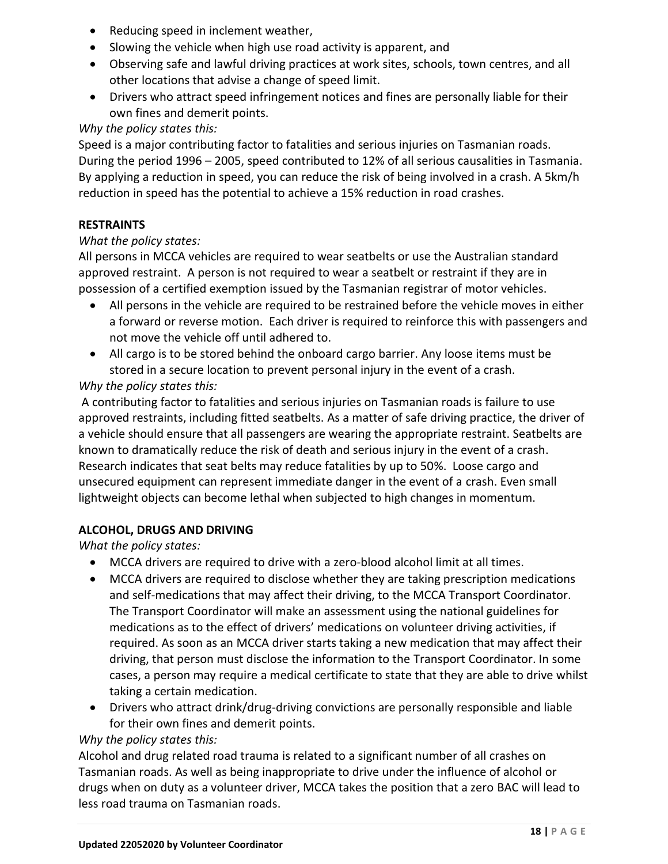- Reducing speed in inclement weather,
- Slowing the vehicle when high use road activity is apparent, and
- Observing safe and lawful driving practices at work sites, schools, town centres, and all other locations that advise a change of speed limit.
- Drivers who attract speed infringement notices and fines are personally liable for their own fines and demerit points.

## *Why the policy states this:*

Speed is a major contributing factor to fatalities and serious injuries on Tasmanian roads. During the period 1996 – 2005, speed contributed to 12% of all serious causalities in Tasmania. By applying a reduction in speed, you can reduce the risk of being involved in a crash. A 5km/h reduction in speed has the potential to achieve a 15% reduction in road crashes.

## **RESTRAINTS**

## *What the policy states:*

All persons in MCCA vehicles are required to wear seatbelts or use the Australian standard approved restraint. A person is not required to wear a seatbelt or restraint if they are in possession of a certified exemption issued by the Tasmanian registrar of motor vehicles.

- All persons in the vehicle are required to be restrained before the vehicle moves in either a forward or reverse motion. Each driver is required to reinforce this with passengers and not move the vehicle off until adhered to.
- All cargo is to be stored behind the onboard cargo barrier. Any loose items must be stored in a secure location to prevent personal injury in the event of a crash.

## *Why the policy states this:*

A contributing factor to fatalities and serious injuries on Tasmanian roads is failure to use approved restraints, including fitted seatbelts. As a matter of safe driving practice, the driver of a vehicle should ensure that all passengers are wearing the appropriate restraint. Seatbelts are known to dramatically reduce the risk of death and serious injury in the event of a crash. Research indicates that seat belts may reduce fatalities by up to 50%. Loose cargo and unsecured equipment can represent immediate danger in the event of a crash. Even small lightweight objects can become lethal when subjected to high changes in momentum.

## **ALCOHOL, DRUGS AND DRIVING**

*What the policy states:*

- MCCA drivers are required to drive with a zero-blood alcohol limit at all times.
- MCCA drivers are required to disclose whether they are taking prescription medications and self-medications that may affect their driving, to the MCCA Transport Coordinator. The Transport Coordinator will make an assessment using the national guidelines for medications as to the effect of drivers' medications on volunteer driving activities, if required. As soon as an MCCA driver starts taking a new medication that may affect their driving, that person must disclose the information to the Transport Coordinator. In some cases, a person may require a medical certificate to state that they are able to drive whilst taking a certain medication.
- Drivers who attract drink/drug-driving convictions are personally responsible and liable for their own fines and demerit points.

## *Why the policy states this:*

Alcohol and drug related road trauma is related to a significant number of all crashes on Tasmanian roads. As well as being inappropriate to drive under the influence of alcohol or drugs when on duty as a volunteer driver, MCCA takes the position that a zero BAC will lead to less road trauma on Tasmanian roads.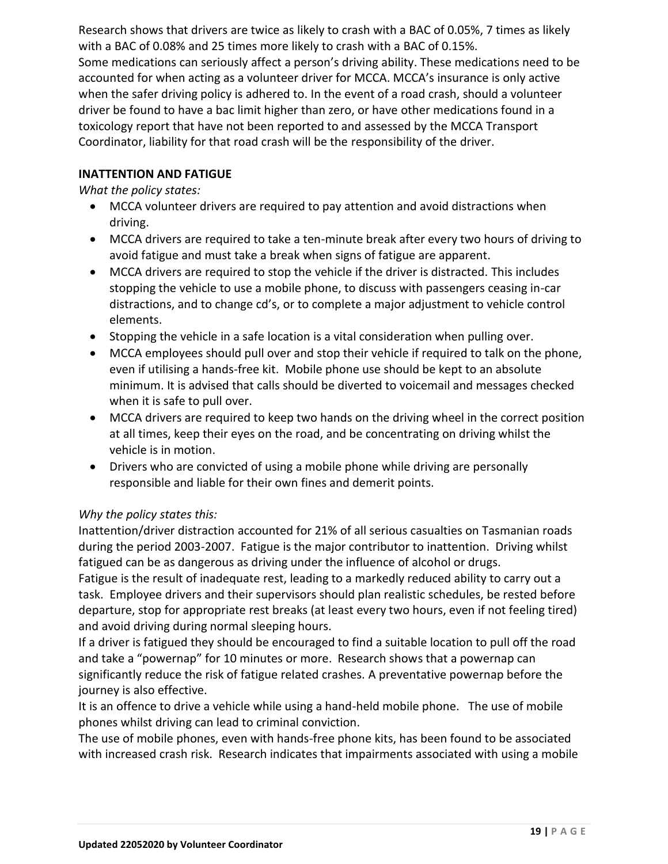Research shows that drivers are twice as likely to crash with a BAC of 0.05%, 7 times as likely with a BAC of 0.08% and 25 times more likely to crash with a BAC of 0.15%. Some medications can seriously affect a person's driving ability. These medications need to be accounted for when acting as a volunteer driver for MCCA. MCCA's insurance is only active when the safer driving policy is adhered to. In the event of a road crash, should a volunteer driver be found to have a bac limit higher than zero, or have other medications found in a toxicology report that have not been reported to and assessed by the MCCA Transport Coordinator, liability for that road crash will be the responsibility of the driver.

## **INATTENTION AND FATIGUE**

*What the policy states:*

- MCCA volunteer drivers are required to pay attention and avoid distractions when driving.
- MCCA drivers are required to take a ten-minute break after every two hours of driving to avoid fatigue and must take a break when signs of fatigue are apparent.
- MCCA drivers are required to stop the vehicle if the driver is distracted. This includes stopping the vehicle to use a mobile phone, to discuss with passengers ceasing in-car distractions, and to change cd's, or to complete a major adjustment to vehicle control elements.
- Stopping the vehicle in a safe location is a vital consideration when pulling over.
- MCCA employees should pull over and stop their vehicle if required to talk on the phone, even if utilising a hands-free kit. Mobile phone use should be kept to an absolute minimum. It is advised that calls should be diverted to voicemail and messages checked when it is safe to pull over.
- MCCA drivers are required to keep two hands on the driving wheel in the correct position at all times, keep their eyes on the road, and be concentrating on driving whilst the vehicle is in motion.
- Drivers who are convicted of using a mobile phone while driving are personally responsible and liable for their own fines and demerit points.

## *Why the policy states this:*

Inattention/driver distraction accounted for 21% of all serious casualties on Tasmanian roads during the period 2003-2007. Fatigue is the major contributor to inattention. Driving whilst fatigued can be as dangerous as driving under the influence of alcohol or drugs.

Fatigue is the result of inadequate rest, leading to a markedly reduced ability to carry out a task. Employee drivers and their supervisors should plan realistic schedules, be rested before departure, stop for appropriate rest breaks (at least every two hours, even if not feeling tired) and avoid driving during normal sleeping hours.

If a driver is fatigued they should be encouraged to find a suitable location to pull off the road and take a "powernap" for 10 minutes or more. Research shows that a powernap can significantly reduce the risk of fatigue related crashes. A preventative powernap before the journey is also effective.

It is an offence to drive a vehicle while using a hand-held mobile phone. The use of mobile phones whilst driving can lead to criminal conviction.

The use of mobile phones, even with hands-free phone kits, has been found to be associated with increased crash risk. Research indicates that impairments associated with using a mobile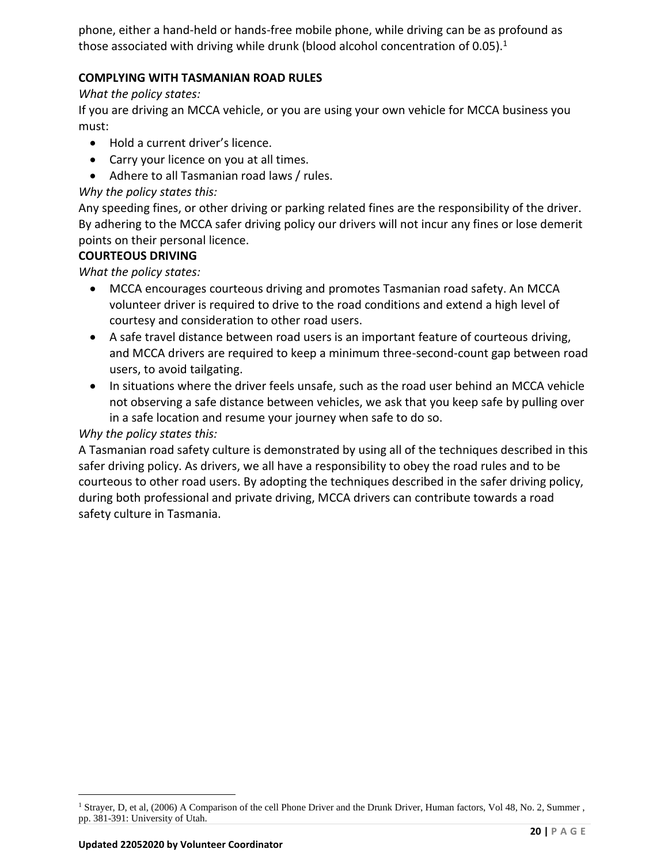phone, either a hand-held or hands-free mobile phone, while driving can be as profound as those associated with driving while drunk (blood alcohol concentration of 0.05).<sup>1</sup>

## **COMPLYING WITH TASMANIAN ROAD RULES**

## *What the policy states:*

If you are driving an MCCA vehicle, or you are using your own vehicle for MCCA business you must:

- Hold a current driver's licence.
- Carry your licence on you at all times.
- Adhere to all Tasmanian road laws / rules.

## *Why the policy states this:*

Any speeding fines, or other driving or parking related fines are the responsibility of the driver. By adhering to the MCCA safer driving policy our drivers will not incur any fines or lose demerit points on their personal licence.

## **COURTEOUS DRIVING**

*What the policy states:*

- MCCA encourages courteous driving and promotes Tasmanian road safety. An MCCA volunteer driver is required to drive to the road conditions and extend a high level of courtesy and consideration to other road users.
- A safe travel distance between road users is an important feature of courteous driving, and MCCA drivers are required to keep a minimum three-second-count gap between road users, to avoid tailgating.
- In situations where the driver feels unsafe, such as the road user behind an MCCA vehicle not observing a safe distance between vehicles, we ask that you keep safe by pulling over in a safe location and resume your journey when safe to do so.

## *Why the policy states this:*

A Tasmanian road safety culture is demonstrated by using all of the techniques described in this safer driving policy. As drivers, we all have a responsibility to obey the road rules and to be courteous to other road users. By adopting the techniques described in the safer driving policy, during both professional and private driving, MCCA drivers can contribute towards a road safety culture in Tasmania.

<sup>&</sup>lt;sup>1</sup> Strayer, D, et al, (2006) A Comparison of the cell Phone Driver and the Drunk Driver, Human factors, Vol 48, No. 2, Summer, pp. 381-391: University of Utah.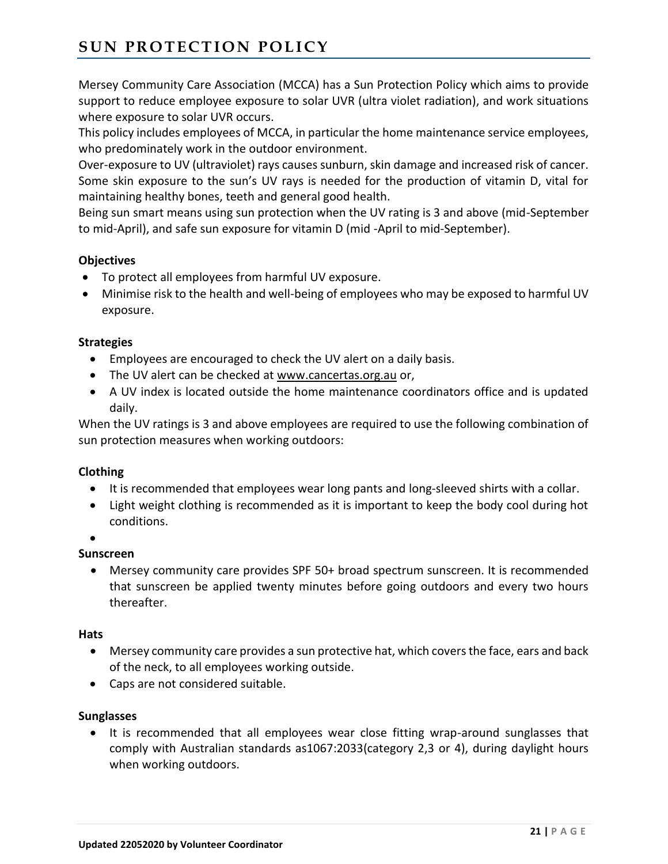# **SUN PROTECTION POLICY**

Mersey Community Care Association (MCCA) has a Sun Protection Policy which aims to provide support to reduce employee exposure to solar UVR (ultra violet radiation), and work situations where exposure to solar UVR occurs.

This policy includes employees of MCCA, in particular the home maintenance service employees, who predominately work in the outdoor environment.

Over-exposure to UV (ultraviolet) rays causes sunburn, skin damage and increased risk of cancer. Some skin exposure to the sun's UV rays is needed for the production of vitamin D, vital for maintaining healthy bones, teeth and general good health.

Being sun smart means using sun protection when the UV rating is 3 and above (mid-September to mid-April), and safe sun exposure for vitamin D (mid -April to mid-September).

## **Objectives**

- To protect all employees from harmful UV exposure.
- Minimise risk to the health and well-being of employees who may be exposed to harmful UV exposure.

## **Strategies**

- Employees are encouraged to check the UV alert on a daily basis.
- The UV alert can be checked at [www.cancertas.org.au](http://www.cancertas.org.au/) or,
- A UV index is located outside the home maintenance coordinators office and is updated daily.

When the UV ratings is 3 and above employees are required to use the following combination of sun protection measures when working outdoors:

## **Clothing**

- It is recommended that employees wear long pants and long-sleeved shirts with a collar.
- Light weight clothing is recommended as it is important to keep the body cool during hot conditions.
- •

## **Sunscreen**

• Mersey community care provides SPF 50+ broad spectrum sunscreen. It is recommended that sunscreen be applied twenty minutes before going outdoors and every two hours thereafter.

## **Hats**

- Mersey community care provides a sun protective hat, which covers the face, ears and back of the neck, to all employees working outside.
- Caps are not considered suitable.

## **Sunglasses**

• It is recommended that all employees wear close fitting wrap-around sunglasses that comply with Australian standards as1067:2033(category 2,3 or 4), during daylight hours when working outdoors.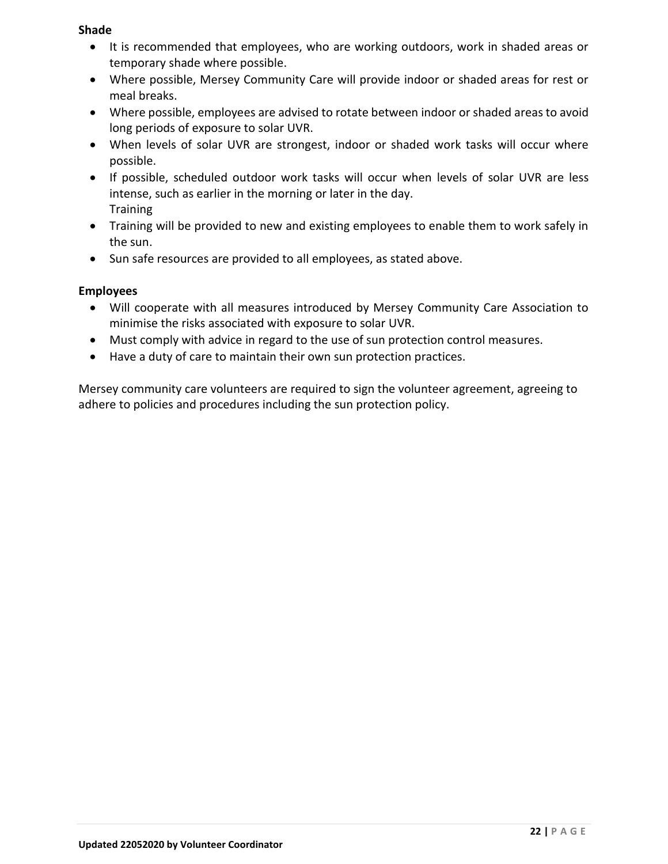## **Shade**

- It is recommended that employees, who are working outdoors, work in shaded areas or temporary shade where possible.
- Where possible, Mersey Community Care will provide indoor or shaded areas for rest or meal breaks.
- Where possible, employees are advised to rotate between indoor or shaded areas to avoid long periods of exposure to solar UVR.
- When levels of solar UVR are strongest, indoor or shaded work tasks will occur where possible.
- If possible, scheduled outdoor work tasks will occur when levels of solar UVR are less intense, such as earlier in the morning or later in the day. **Training**
- Training will be provided to new and existing employees to enable them to work safely in the sun.
- Sun safe resources are provided to all employees, as stated above.

## **Employees**

- Will cooperate with all measures introduced by Mersey Community Care Association to minimise the risks associated with exposure to solar UVR.
- Must comply with advice in regard to the use of sun protection control measures.
- Have a duty of care to maintain their own sun protection practices.

Mersey community care volunteers are required to sign the volunteer agreement, agreeing to adhere to policies and procedures including the sun protection policy.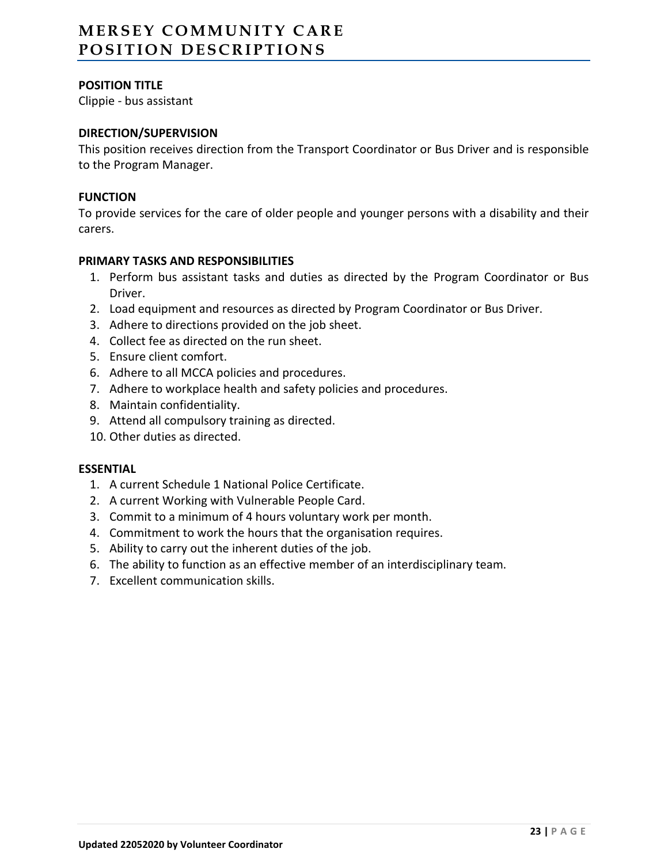# **MERSEY COMMUNITY CARE P O S I T I O N D E S C R I P T I O N S**

## **POSITION TITLE**

Clippie - bus assistant

## **DIRECTION/SUPERVISION**

This position receives direction from the Transport Coordinator or Bus Driver and is responsible to the Program Manager.

#### **FUNCTION**

To provide services for the care of older people and younger persons with a disability and their carers.

#### **PRIMARY TASKS AND RESPONSIBILITIES**

- 1. Perform bus assistant tasks and duties as directed by the Program Coordinator or Bus Driver.
- 2. Load equipment and resources as directed by Program Coordinator or Bus Driver.
- 3. Adhere to directions provided on the job sheet.
- 4. Collect fee as directed on the run sheet.
- 5. Ensure client comfort.
- 6. Adhere to all MCCA policies and procedures.
- 7. Adhere to workplace health and safety policies and procedures.
- 8. Maintain confidentiality.
- 9. Attend all compulsory training as directed.
- 10. Other duties as directed.

#### **ESSENTIAL**

- 1. A current Schedule 1 National Police Certificate.
- 2. A current Working with Vulnerable People Card.
- 3. Commit to a minimum of 4 hours voluntary work per month.
- 4. Commitment to work the hours that the organisation requires.
- 5. Ability to carry out the inherent duties of the job.
- 6. The ability to function as an effective member of an interdisciplinary team.
- 7. Excellent communication skills.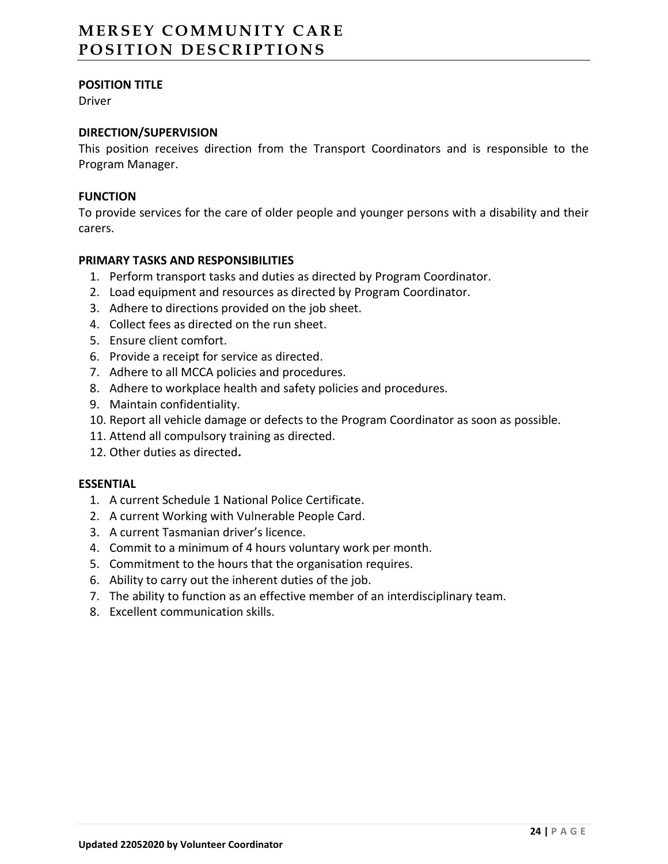# **MERSEY COMMUNITY CARE POSITION DESCRIPTIONS**

## **POSITION TITLE**

Driver

## **DIRECTION/SUPERVISION**

This position receives direction from the Transport Coordinators and is responsible to the Program Manager.

#### **FUNCTION**

To provide services for the care of older people and younger persons with a disability and their carers.

## **PRIMARY TASKS AND RESPONSIBILITIES**

- 1. Perform transport tasks and duties as directed by Program Coordinator.
- 2. Load equipment and resources as directed by Program Coordinator.
- 3. Adhere to directions provided on the job sheet.
- 4. Collect fees as directed on the run sheet.
- 5. Ensure client comfort.
- 6. Provide a receipt for service as directed.
- 7. Adhere to all MCCA policies and procedures.
- 8. Adhere to workplace health and safety policies and procedures.
- 9. Maintain confidentiality.
- 10. Report all vehicle damage or defects to the Program Coordinator as soon as possible.
- 11. Attend all compulsory training as directed.
- 12. Other duties as directed**.**

#### **ESSENTIAL**

- 1. A current Schedule 1 National Police Certificate.
- 2. A current Working with Vulnerable People Card.
- 3. A current Tasmanian driver's licence.
- 4. Commit to a minimum of 4 hours voluntary work per month.
- 5. Commitment to the hours that the organisation requires.
- 6. Ability to carry out the inherent duties of the job.
- 7. The ability to function as an effective member of an interdisciplinary team.
- 8. Excellent communication skills.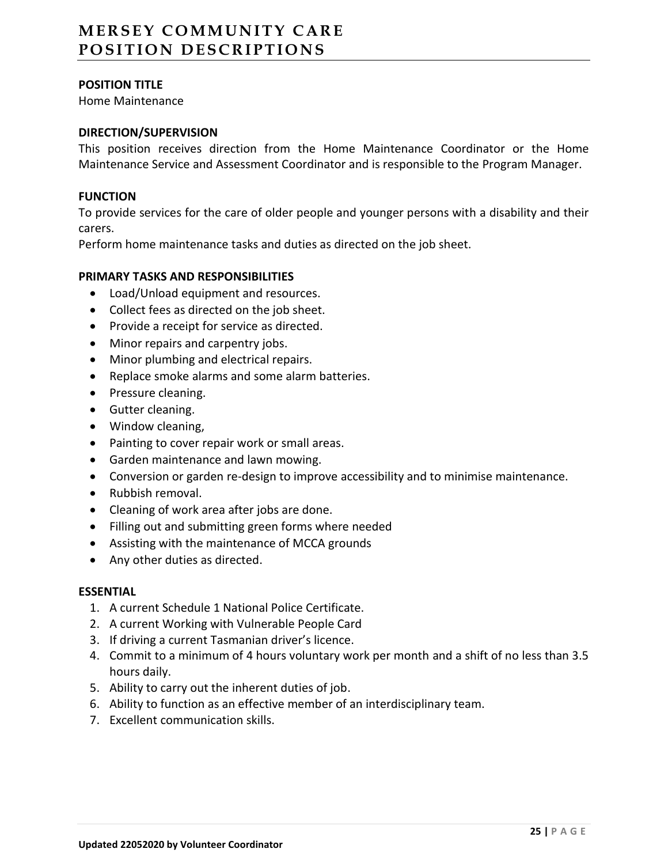# **MERSEY COMMUNITY CARE POSITION DESCRIPTIONS**

## **POSITION TITLE**

Home Maintenance

## **DIRECTION/SUPERVISION**

This position receives direction from the Home Maintenance Coordinator or the Home Maintenance Service and Assessment Coordinator and is responsible to the Program Manager.

#### **FUNCTION**

To provide services for the care of older people and younger persons with a disability and their carers.

Perform home maintenance tasks and duties as directed on the job sheet.

## **PRIMARY TASKS AND RESPONSIBILITIES**

- Load/Unload equipment and resources.
- Collect fees as directed on the job sheet.
- Provide a receipt for service as directed.
- Minor repairs and carpentry jobs.
- Minor plumbing and electrical repairs.
- Replace smoke alarms and some alarm batteries.
- Pressure cleaning.
- Gutter cleaning.
- Window cleaning,
- Painting to cover repair work or small areas.
- Garden maintenance and lawn mowing.
- Conversion or garden re-design to improve accessibility and to minimise maintenance.
- Rubbish removal.
- Cleaning of work area after jobs are done.
- Filling out and submitting green forms where needed
- Assisting with the maintenance of MCCA grounds
- Any other duties as directed.

#### **ESSENTIAL**

- 1. A current Schedule 1 National Police Certificate.
- 2. A current Working with Vulnerable People Card
- 3. If driving a current Tasmanian driver's licence.
- 4. Commit to a minimum of 4 hours voluntary work per month and a shift of no less than 3.5 hours daily.
- 5. Ability to carry out the inherent duties of job.
- 6. Ability to function as an effective member of an interdisciplinary team.
- 7. Excellent communication skills.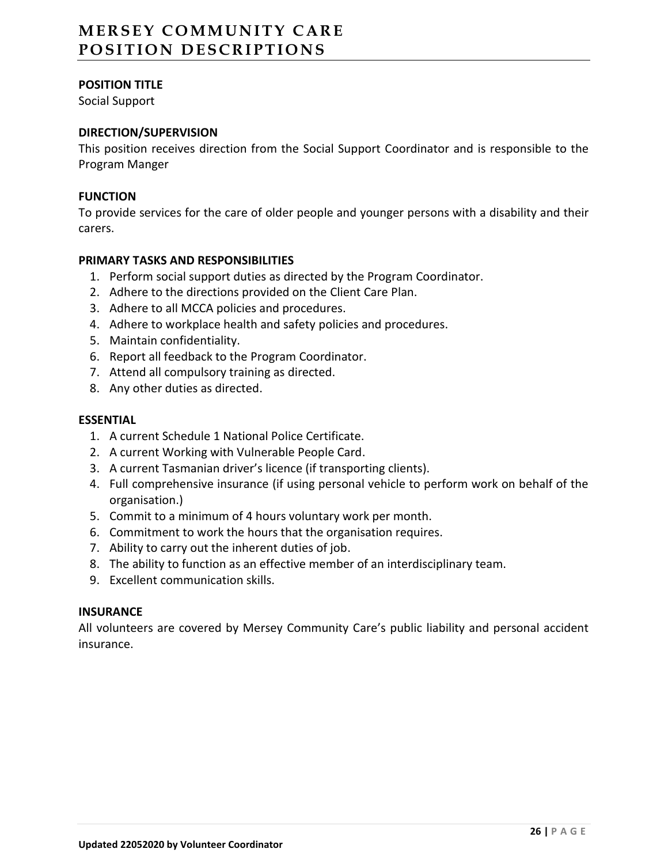# **MERSEY COMMUNITY CARE POSITION DESCRIPTIONS**

## **POSITION TITLE**

Social Support

## **DIRECTION/SUPERVISION**

This position receives direction from the Social Support Coordinator and is responsible to the Program Manger

## **FUNCTION**

To provide services for the care of older people and younger persons with a disability and their carers.

## **PRIMARY TASKS AND RESPONSIBILITIES**

- 1. Perform social support duties as directed by the Program Coordinator.
- 2. Adhere to the directions provided on the Client Care Plan.
- 3. Adhere to all MCCA policies and procedures.
- 4. Adhere to workplace health and safety policies and procedures.
- 5. Maintain confidentiality.
- 6. Report all feedback to the Program Coordinator.
- 7. Attend all compulsory training as directed.
- 8. Any other duties as directed.

#### **ESSENTIAL**

- 1. A current Schedule 1 National Police Certificate.
- 2. A current Working with Vulnerable People Card.
- 3. A current Tasmanian driver's licence (if transporting clients).
- 4. Full comprehensive insurance (if using personal vehicle to perform work on behalf of the organisation.)
- 5. Commit to a minimum of 4 hours voluntary work per month.
- 6. Commitment to work the hours that the organisation requires.
- 7. Ability to carry out the inherent duties of job.
- 8. The ability to function as an effective member of an interdisciplinary team.
- 9. Excellent communication skills.

## **INSURANCE**

All volunteers are covered by Mersey Community Care's public liability and personal accident insurance.